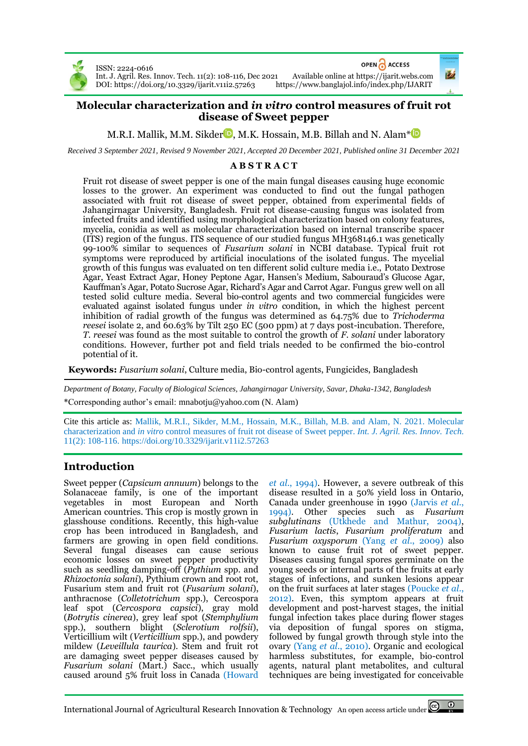

ISSN: 2224-0616

OPEN ACCESS

Int. J. Agril. Res. Innov. Tech. 11(2): 108-116, Dec 2021 Available online at [https://ijarit.webs.com](http://ijarit.webs.com/) DOI: https://doi.org/10.3329/ijarit.v11i2.57263

## **Molecular characterization and** *in vitro* **control measures of fruit rot disease of Sweet pepper**

M.R.I. Mallik[,](https://orcid.org/0000-0001-9139-4890) M.M. Sikder $\blacksquare$ , M.K. Hossain, M.B. Billah and N. Alam\* $\blacksquare$ 

*Received 3 September 2021, Revised 9 November 2021, Accepted 20 December 2021, Published online 31 December 2021*

## **A B S T R A C T**

Fruit rot disease of sweet pepper is one of the main fungal diseases causing huge economic losses to the grower. An experiment was conducted to find out the fungal pathogen associated with fruit rot disease of sweet pepper, obtained from experimental fields of Jahangirnagar University, Bangladesh. Fruit rot disease-causing fungus was isolated from infected fruits and identified using morphological characterization based on colony features, mycelia, conidia as well as molecular characterization based on internal transcribe spacer (ITS) region of the fungus. ITS sequence of our studied fungus MH368146.1 was genetically 99-100% similar to sequences of *Fusarium solani* in NCBI database. Typical fruit rot symptoms were reproduced by artificial inoculations of the isolated fungus. The mycelial growth of this fungus was evaluated on ten different solid culture media i.e., Potato Dextrose Agar, Yeast Extract Agar, Honey Peptone Agar, Hansen's Medium, Sabouraud's Glucose Agar, Kauffman's Agar, Potato Sucrose Agar, Richard's Agar and Carrot Agar. Fungus grew well on all tested solid culture media. Several bio-control agents and two commercial fungicides were evaluated against isolated fungus under *in vitro* condition, in which the highest percent inhibition of radial growth of the fungus was determined as 64.75% due to *Trichoderma reesei* isolate 2, and 60.63% by Tilt 250 EC (500 ppm) at 7 days post-incubation. Therefore, *T. reesei* was found as the most suitable to control the growth of *F. solani* under laboratory conditions. However, further pot and field trials needed to be confirmed the bio-control potential of it.

**Keywords:** *Fusarium solani*, Culture media, Bio-control agents, Fungicides, Bangladesh

*Department of Botany, Faculty of Biological Sciences, Jahangirnagar University, Savar, Dhaka-1342, Bangladesh* \*Corresponding author's email[: mnabotju@yahoo.com](mailto:mnabotju@yahoo.com) (N. Alam)

Cite this article as: Mallik, M.R.I., Sikder, M.M., Hossain, M.K., Billah, M.B. and Alam, N. 2021. Molecular characterization and *in vitro* control measures of fruit rot disease of Sweet pepper. *Int. J. Agril. Res. Innov. Tech.* 11(2): 108-116. <https://doi.org/10.3329/ijarit.v11i2.57263>

# **Introduction**

Sweet pepper (*Capsicum annuum*) belongs to the Solanaceae family, is one of the important vegetables in most European and North American countries. This crop is mostly grown in glasshouse conditions. Recently, this high-value crop has been introduced in Bangladesh, and farmers are growing in open field conditions. Several fungal diseases can cause serious economic losses on sweet pepper productivity such as seedling damping-off (*Pythium* spp. and *Rhizoctonia solani*), Pythium crown and root rot, Fusarium stem and fruit rot (*Fusarium solani*), anthracnose (*Colletotrichum* spp.), Cercospora leaf spot (*Cercospora capsici*), gray mold (*Botrytis cinerea*), grey leaf spot (*Stemphylium* spp.), southern blight (*Sclerotium rolfsii*), Verticillium wilt (*Verticillium* spp.), and powdery mildew (*Leveillula taurica*). Stem and fruit rot are damaging sweet pepper diseases caused by *Fusarium solani* (Mart.) Sacc., which usually caused around 5% fruit loss in Canada (Howard

*et al*., 1994). However, a severe outbreak of this disease resulted in a 50% yield loss in Ontario, Canada under greenhouse in 1990 (Jarvis *et al*., 1994). Other species such as *Fusarium subglutinans* (Utkhede and Mathur, 2004), *Fusarium lactis*, *Fusarium proliferatum* and *Fusarium oxysporum* (Yang *et al*., 2009) also known to cause fruit rot of sweet pepper. Diseases causing fungal spores germinate on the young seeds or internal parts of the fruits at early stages of infections, and sunken lesions appear on the fruit surfaces at later stages (Poucke *et al*., 2012). Even, this symptom appears at fruit development and post-harvest stages, the initial fungal infection takes place during flower stages via deposition of fungal spores on stigma, followed by fungal growth through style into the ovary (Yang *et al*., 2010). Organic and ecological harmless substitutes, for example, bio-control agents, natural plant metabolites, and cultural techniques are being investigated for conceivable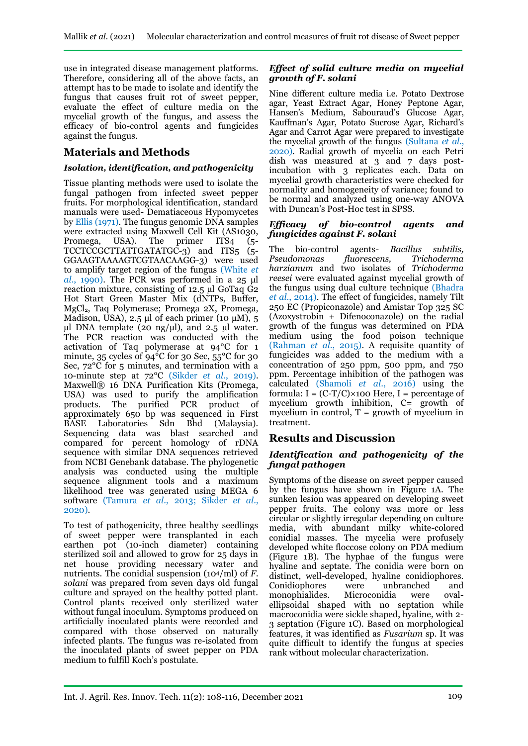use in integrated disease management platforms. Therefore, considering all of the above facts, an attempt has to be made to isolate and identify the fungus that causes fruit rot of sweet pepper, evaluate the effect of culture media on the mycelial growth of the fungus, and assess the efficacy of bio-control agents and fungicides against the fungus.

## **Materials and Methods**

### *Isolation, identification, and pathogenicity*

Tissue planting methods were used to isolate the fungal pathogen from infected sweet pepper fruits. For morphological identification, standard manuals were used- Dematiaceous Hypomycetes by Ellis (1971). The fungus genomic DNA samples were extracted using Maxwell Cell Kit (AS1030, Promega, USA). The primer ITS4 (5-Promega, USA). The primer ITS4 (5- TCCTCCGCTTATTGATATGC-3) and ITS5 (5- GGAAGTAAAAGTCGTAACAAGG-3) were used to amplify target region of the fungus (White *et al*., 1990). The PCR was performed in a 25 μl reaction mixture, consisting of 12.5 µl GoTaq G2 Hot Start Green Master Mix (dNTPs, Buffer, MgCl2, Taq Polymerase; Promega 2X, Promega, Madison, USA), 2.5 μl of each primer (10  $\mu$ M), 5  $\mu$ l DNA template (20 ng/ $\mu$ l), and 2.5  $\mu$ l water. The PCR reaction was conducted with the activation of Taq polymerase at 94°C for 1 minute, 35 cycles of  $94^{\circ}$ C for 30 Sec, 55<sup>o</sup>C for 30 Sec, 72°C for 5 minutes, and termination with a 10-minute step at 72°C (Sikder *et al*., 2019). Maxwell® 16 DNA Purification Kits (Promega, USA) was used to purify the amplification products. The purified PCR product of approximately 650 bp was sequenced in First<br>BASE Laboratories Sdn Bhd (Malaysia) Laboratories Sdn Bhd (Malaysia). Sequencing data was blast searched and compared for percent homology of rDNA sequence with similar DNA sequences retrieved from NCBI Genebank database. The phylogenetic analysis was conducted using the multiple sequence alignment tools and a maximum likelihood tree was generated using MEGA 6 software (Tamura *et al*., 2013; Sikder *et al*., 2020).

To test of pathogenicity, three healthy seedlings of sweet pepper were transplanted in each earthen pot (10-inch diameter) containing sterilized soil and allowed to grow for 25 days in net house providing necessary water and nutrients. The conidial suspension (104/ml) of *F. solani* was prepared from seven days old fungal culture and sprayed on the healthy potted plant. Control plants received only sterilized water without fungal inoculum. Symptoms produced on artificially inoculated plants were recorded and compared with those observed on naturally infected plants. The fungus was re-isolated from the inoculated plants of sweet pepper on PDA medium to fulfill Koch's postulate.

#### *Effect of solid culture media on mycelial growth of F. solani*

Nine different culture media i.e. Potato Dextrose agar, Yeast Extract Agar, Honey Peptone Agar, Hansen's Medium, Sabouraud's Glucose Agar, Kauffman's Agar, Potato Sucrose Agar, Richard's Agar and Carrot Agar were prepared to investigate the mycelial growth of the fungus (Sultana *et al*., 2020). Radial growth of mycelia on each Petri dish was measured at 3 and 7 days postincubation with 3 replicates each. Data on mycelial growth characteristics were checked for normality and homogeneity of variance; found to be normal and analyzed using one-way ANOVA with Duncan's Post-Hoc test in SPSS.

#### *Efficacy of bio-control agents and fungicides against F. solani*

The bio-control agents- *Bacillus subtilis,*   $flu\overset{\sim}{o}$ rescens. *harzianum* and two isolates of *Trichoderma reesei* were evaluated against mycelial growth of the fungus using dual culture technique (Bhadra *et al*., 2014). The effect of fungicides, namely Tilt 250 EC (Propiconazole) and Amistar Top 325 SC (Azoxystrobin + Difenoconazole) on the radial growth of the fungus was determined on PDA medium using the food poison technique (Rahman *et al*., 2015). A requisite quantity of fungicides was added to the medium with a concentration of 250 ppm, 500 ppm, and 750 ppm. Percentage inhibition of the pathogen was calculated (Shamoli *et al*., 2016) using the formula:  $I = (C-T/C) \times 100$  Here,  $I =$  percentage of mycelium growth inhibition, C= growth of mycelium in control,  $T =$  growth of mycelium in treatment.

## **Results and Discussion**

### *Identification and pathogenicity of the fungal pathogen*

Symptoms of the disease on sweet pepper caused by the fungus have shown in Figure 1A. The sunken lesion was appeared on developing sweet pepper fruits. The colony was more or less circular or slightly irregular depending on culture media, with abundant milky white-colored conidial masses. The mycelia were profusely developed white floccose colony on PDA medium (Figure 1B). The hyphae of the fungus were hyaline and septate. The conidia were born on distinct, well-developed, hyaline conidiophores.<br>Conidiophores were unbranched and Conidiophores were unbranched and monophialides. Microconidia were ovalellipsoidal shaped with no septation while macroconidia were sickle shaped, hyaline, with 2- 3 septation (Figure 1C). Based on morphological features, it was identified as *Fusarium* sp. It was quite difficult to identify the fungus at species rank without molecular characterization.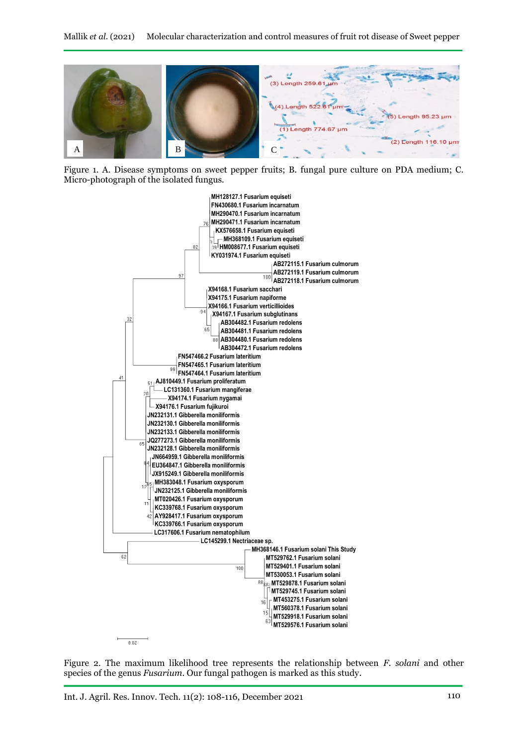

Figure 1. A. Disease symptoms on sweet pepper fruits; B. fungal pure culture on PDA medium; C. Micro-photograph of the isolated fungus.



Figure 2. The maximum likelihood tree represents the relationship between *F. solani* and other species of the genus *Fusarium*. Our fungal pathogen is marked as this study.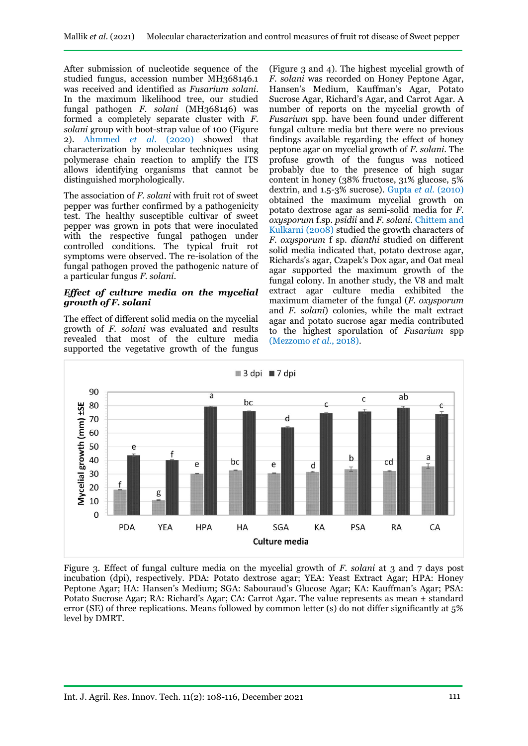After submission of nucleotide sequence of the studied fungus, accession number MH368146.1 was received and identified as *Fusarium solani.*  In the maximum likelihood tree, our studied fungal pathogen *F. solani* (MH368146) was formed a completely separate cluster with *F. solani* group with boot-strap value of 100 (Figure 2). Ahmmed *et al*. (2020) showed that characterization by molecular techniques using polymerase chain reaction to amplify the ITS allows identifying organisms that cannot be distinguished morphologically.

The association of *F. solani* with fruit rot of sweet pepper was further confirmed by a pathogenicity test. The healthy susceptible cultivar of sweet pepper was grown in pots that were inoculated with the respective fungal pathogen under controlled conditions. The typical fruit rot symptoms were observed. The re-isolation of the fungal pathogen proved the pathogenic nature of a particular fungus *F. solani*.

#### *Effect of culture media on the mycelial growth of F. solani*

The effect of different solid media on the mycelial growth of *F. solani* was evaluated and results revealed that most of the culture media supported the vegetative growth of the fungus

(Figure 3 and 4). The highest mycelial growth of *F. solani* was recorded on Honey Peptone Agar, Hansen's Medium, Kauffman's Agar, Potato Sucrose Agar, Richard's Agar, and Carrot Agar. A number of reports on the mycelial growth of *Fusarium* spp. have been found under different fungal culture media but there were no previous findings available regarding the effect of honey peptone agar on mycelial growth of *F. solani*. The profuse growth of the fungus was noticed probably due to the presence of high sugar content in honey (38% fructose, 31% glucose, 5% dextrin, and 1.5-3% sucrose). Gupta *et al.* (2010) obtained the maximum mycelial growth on potato dextrose agar as semi-solid media for *F. oxysporum* f.sp. *psidii* and *F. solani.* Chittem and Kulkarni (2008) studied the growth characters of *F. oxysporum* f sp. *dianthi* studied on different solid media indicated that, potato dextrose agar, Richards's agar, Czapek's Dox agar, and Oat meal agar supported the maximum growth of the fungal colony. In another study, the V8 and malt extract agar culture media exhibited the maximum diameter of the fungal (*F. oxysporum* and *F. solani*) colonies, while the malt extract agar and potato sucrose agar media contributed to the highest sporulation of *Fusarium* spp (Mezzomo *et al*., 2018).



Figure 3. Effect of fungal culture media on the mycelial growth of *F. solani* at 3 and 7 days post incubation (dpi), respectively. PDA: Potato dextrose agar; YEA: Yeast Extract Agar; HPA: Honey Peptone Agar; HA: Hansen's Medium; SGA: Sabouraud's Glucose Agar; KA: Kauffman's Agar; PSA: Potato Sucrose Agar; RA: Richard's Agar; CA: Carrot Agar. The value represents as mean ± standard error (SE) of three replications. Means followed by common letter (s) do not differ significantly at 5% level by DMRT.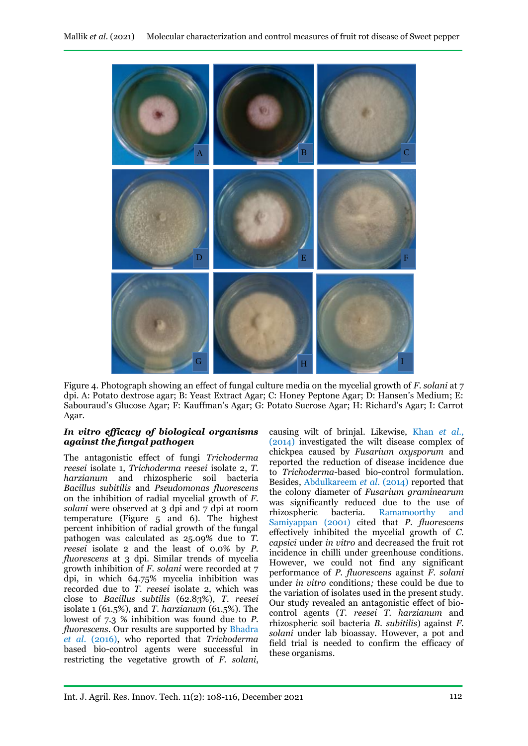

Figure 4. Photograph showing an effect of fungal culture media on the mycelial growth of *F. solani* at 7 dpi. A: Potato dextrose agar; B: Yeast Extract Agar; C: Honey Peptone Agar; D: Hansen's Medium; E: Sabouraud's Glucose Agar; F: Kauffman's Agar; G: Potato Sucrose Agar; H: Richard's Agar; I: Carrot Agar.

#### *In vitro efficacy of biological organisms against the fungal pathogen*

The antagonistic effect of fungi *Trichoderma reesei* isolate 1, *Trichoderma reesei* isolate 2, *T. harzianum* and rhizospheric soil bacteria *Bacillus subitilis* and *Pseudomonas fluorescens*  on the inhibition of radial mycelial growth of *F. solani* were observed at 3 dpi and 7 dpi at room temperature (Figure 5 and 6). The highest percent inhibition of radial growth of the fungal pathogen was calculated as 25.09% due to *T. reesei* isolate 2 and the least of 0.0% by *P. fluorescens* at 3 dpi. Similar trends of mycelia growth inhibition of *F. solani* were recorded at 7 dpi, in which 64.75% mycelia inhibition was recorded due to *T. reesei* isolate 2, which was close to *Bacillus subtilis* (62.83%), *T. reesei*  isolate 1 (61.5%), and *T. harzianum* (61.5%). The lowest of 7.3 % inhibition was found due to *P. fluorescens*. Our results are supported by Bhadra *et al*. (2016), who reported that *Trichoderma* based bio-control agents were successful in restricting the vegetative growth of *F. solani*, causing wilt of brinjal. Likewise, Khan *et al.,* (2014) investigated the wilt disease complex of chickpea caused by *Fusarium oxysporum* and reported the reduction of disease incidence due to *Trichoderma-*based bio-control formulation. Besides, Abdulkareem *et al.* (2014) reported that the colony diameter of *Fusarium graminearum* was significantly reduced due to the use of rhizospheric bacteria. Ramamoorthy and Samiyappan (2001) cited that *P. fluorescens* effectively inhibited the mycelial growth of *C. capsici* under *in vitro* and decreased the fruit rot incidence in chilli under greenhouse conditions. However, we could not find any significant performance of *P. fluorescens* against *F. solani*  under *in vitro* conditions*;* these could be due to the variation of isolates used in the present study. Our study revealed an antagonistic effect of biocontrol agents (*T. reesei T. harzianum* and rhizospheric soil bacteria *B. subitilis*) against *F. solani* under lab bioassay. However, a pot and field trial is needed to confirm the efficacy of these organisms.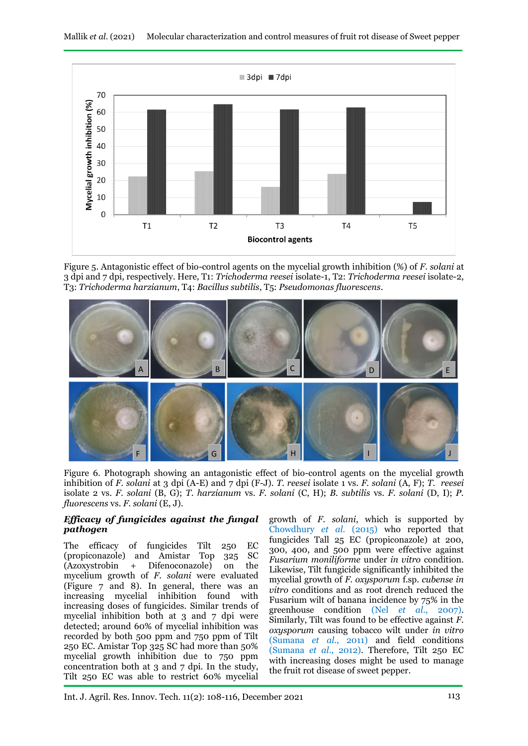

Figure 5. Antagonistic effect of bio-control agents on the mycelial growth inhibition (%) of *F. solani* at 3 dpi and 7 dpi, respectively. Here, T1: *Trichoderma reesei* isolate-1, T2: *Trichoderma reesei* isolate-2, T3: *Trichoderma harzianum*, T4: *Bacillus subtilis*, T5: *Pseudomonas fluorescens*.



Figure 6. Photograph showing an antagonistic effect of bio-control agents on the mycelial growth inhibition of *F. solani* at 3 dpi (A-E) and 7 dpi (F-J). *T. reesei* isolate 1 vs. *F. solani* (A, F); *T. reesei* isolate 2 vs. *F. solani* (B, G); *T. harzianum* vs. *F. solani* (C, H); *B. subtilis* vs. *F. solani* (D, I); *P. fluorescens* vs. *F. solani* (E, J).

### *Efficacy of fungicides against the fungal pathogen*

The efficacy of fungicides Tilt 250 EC (propiconazole) and Amistar Top 325 SC (Azoxystrobin + Difenoconazole) on the mycelium growth of *F. solani* were evaluated (Figure 7 and 8). In general, there was an increasing mycelial inhibition found with increasing doses of fungicides. Similar trends of mycelial inhibition both at 3 and 7 dpi were detected; around 60% of mycelial inhibition was recorded by both 500 ppm and 750 ppm of Tilt 250 EC. Amistar Top 325 SC had more than 50% mycelial growth inhibition due to 750 ppm concentration both at 3 and 7 dpi. In the study, Tilt 250 EC was able to restrict 60% mycelial

growth of *F. solani*, which is supported by Chowdhury *et al.* (2015) who reported that fungicides Tall 25 EC (propiconazole) at 200, 300, 400, and 500 ppm were effective against *Fusarium moniliforme* under *in vitro* condition. Likewise, Tilt fungicide significantly inhibited the mycelial growth of *F. oxysporum* f.sp. *cubense in vitro* conditions and as root drench reduced the Fusarium wilt of banana incidence by 75% in the greenhouse condition (Nel *et al*., 2007). Similarly, Tilt was found to be effective against *F. oxysporum* causing tobacco wilt under *in vitro* (Sumana *et al*., 2011) and field conditions (Sumana *et al*., 2012). Therefore, Tilt 250 EC with increasing doses might be used to manage the fruit rot disease of sweet pepper.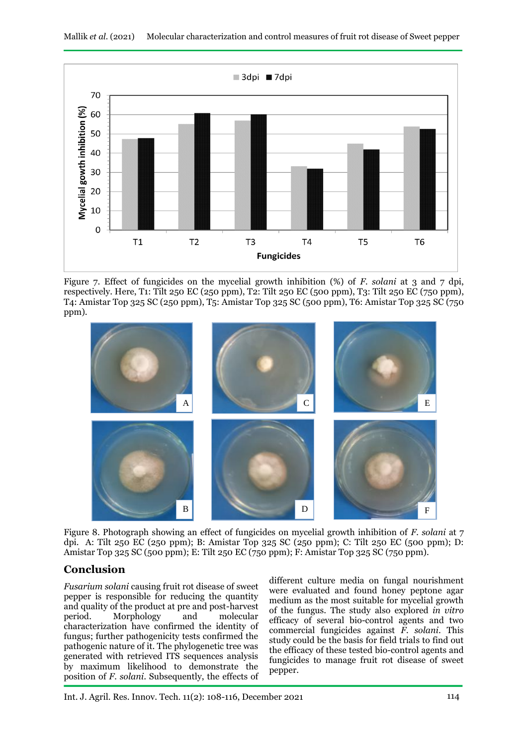

Figure 7. Effect of fungicides on the mycelial growth inhibition (%) of *F. solani* at 3 and 7 dpi, respectively. Here, T1: Tilt 250 EC (250 ppm), T2: Tilt 250 EC (500 ppm), T3: Tilt 250 EC (750 ppm), T4: Amistar Top 325 SC (250 ppm), T5: Amistar Top 325 SC (500 ppm), T6: Amistar Top 325 SC (750 ppm).



Figure 8. Photograph showing an effect of fungicides on mycelial growth inhibition of *F. solani* at 7 dpi. A: Tilt 250 EC (250 ppm); B: Amistar Top 325 SC (250 ppm); C: Tilt 250 EC (500 ppm); D: Amistar Top 325 SC (500 ppm); E: Tilt 250 EC (750 ppm); F: Amistar Top 325 SC (750 ppm).

# **Conclusion**

*Fusarium solani* causing fruit rot disease of sweet pepper is responsible for reducing the quantity and quality of the product at pre and post-harvest period. Morphology and molecular characterization have confirmed the identity of fungus; further pathogenicity tests confirmed the pathogenic nature of it. The phylogenetic tree was generated with retrieved ITS sequences analysis by maximum likelihood to demonstrate the position of *F. solani*. Subsequently, the effects of

different culture media on fungal nourishment were evaluated and found honey peptone agar medium as the most suitable for mycelial growth of the fungus. The study also explored *in vitro* efficacy of several bio-control agents and two commercial fungicides against *F. solani*. This study could be the basis for field trials to find out the efficacy of these tested bio-control agents and fungicides to manage fruit rot disease of sweet pepper.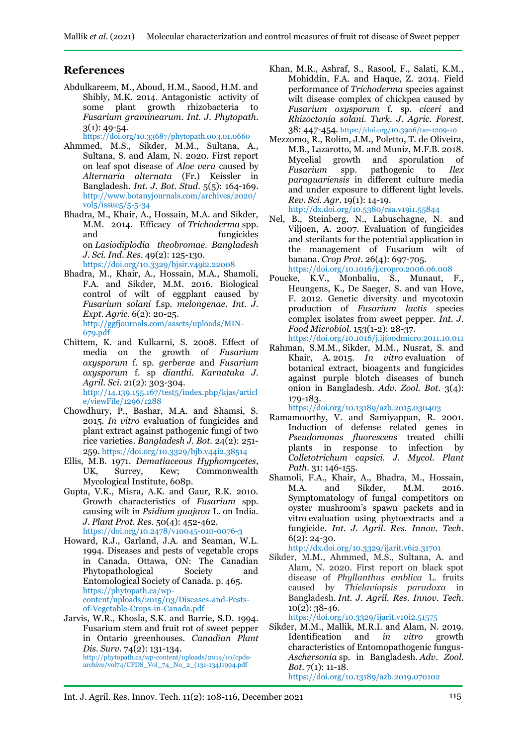## **References**

Abdulkareem, M., Aboud, H.M., Saood, H.M. and Shibly, M.K. 2014. Antagonistic activity of some plant growth rhizobacteria to *Fusarium graminearum*. *Int. J. Phytopath*.  $3(1): 49 - 54.$ 

<https://doi.org/10.33687/phytopath.003.01.0660>

Ahmmed, M.S., Sikder, M.M., Sultana, A., Sultana, S. and Alam, N. 2020. First report on leaf spot disease of *Aloe vera* caused by *Alternaria alternata* (Fr.) Keissler in Bangladesh. *Int. J. Bot. Stud.* 5(5): 164-169. [http://www.botanyjournals.com/archives/2020/](http://www.botanyjournals.com/archives/2020/vol5/issue5/5-5-34) [vol5/issue5/5-5-34](http://www.botanyjournals.com/archives/2020/vol5/issue5/5-5-34)

Bhadra, M., Khair, A., Hossain, M.A. and Sikder, M.M. 2014. Efficacy of *Trichoderma* spp. and fungicides on *Lasiodiplodia theobromae*. *Bangladesh J. Sci. Ind. Res*. 49(2): 125-130. <https://doi.org/10.3329/bjsir.v49i2.22008>

- Bhadra, M., Khair, A., Hossain, M.A., Shamoli, F.A. and Sikder, M.M. 2016. Biological control of wilt of eggplant caused by *Fusarium solani* f.sp. *melongenae*. *Int. J. Expt. Agric*. 6(2): 20-25. [http://ggfjournals.com/assets/uploads/MIN-](http://ggfjournals.com/assets/uploads/MIN-679.pdf)[679.pdf](http://ggfjournals.com/assets/uploads/MIN-679.pdf)
- Chittem, K. and Kulkarni, S. 2008. Effect of media on the growth of *Fusarium oxysporum* f. sp. *gerberae* and *Fusarium oxysporum* f. sp *dianthi. Karnataka J. Agril. Sci*. 21(2): 303-304. [http://14.139.155.167/test5/index.php/kjas/articl](http://14.139.155.167/test5/index.php/kjas/article/viewFile/1296/1288)

[e/viewFile/1296/1288](http://14.139.155.167/test5/index.php/kjas/article/viewFile/1296/1288)

- Chowdhury, P., Bashar, M.A. and Shamsi, S. 2015. *In vitro* evaluation of fungicides and plant extract against pathogenic fungi of two rice varieties. *Bangladesh J. Bot.* 24(2): 251- 259. <https://doi.org/10.3329/bjb.v44i2.38514>
- Ellis, M.B. 1971. *Dematiaceous Hyphomycetes*, UK, Surrey, Kew; Commonwealth Mycological Institute, 608p.
- Gupta, V.K., Misra, A.K. and Gaur, R.K. 2010. Growth characteristics of *Fusarium* spp*.*  causing wilt in *Psidium guajava* L. on India. *J. Plant Prot. Res*. 50(4): 452-462. https://doi.org/10.2478/v10045-010-0076-3

Howard, R.J., Garland, J.A. and Seaman, W.L. 1994. Diseases and pests of vegetable crops in Canada. Ottawa, ON: The Canadian Phytopathological Society and Entomological Society of Canada. p. 465. [https://phytopath.ca/wp](https://phytopath.ca/wp-content/uploads/2015/03/Diseases-and-Pests-of-Vegetable-Crops-in-Canada.pdf)[content/uploads/2015/03/Diseases-and-Pests](https://phytopath.ca/wp-content/uploads/2015/03/Diseases-and-Pests-of-Vegetable-Crops-in-Canada.pdf)[of-Vegetable-Crops-in-Canada.pdf](https://phytopath.ca/wp-content/uploads/2015/03/Diseases-and-Pests-of-Vegetable-Crops-in-Canada.pdf)

Jarvis, W.R., Khosla, S.K. and Barrie, S.D. 1994. Fusarium stem and fruit rot of sweet pepper in Ontario greenhouses. *Canadian Plant Dis. Surv.* 74(2): 131-134. http://phytopath.ca/wp-content/uploads/2014/10/cpdsarchive/vol74/CPDS\_Vol\_74\_No\_2\_(131-134)1994.pdf

- Khan, M.R., Ashraf, S., Rasool, F., Salati, K.M., Mohiddin, F.A. and Haque, Z. 2014. Field performance of *Trichoderma* species against wilt disease complex of chickpea caused by *Fusarium oxysporum* f. sp. *ciceri* and *Rhizoctonia solani. Turk. J. Agric. Forest*. 38: 447-454. https://doi.org/10.3906/tar-1209-10
- Mezzomo, R., Rolim, J.M., Poletto, T. de Oliveira, M.B., Lazarotto, M. and Muniz, M.F.B. 2018. Mycelial growth and sporulation of *Fusarium* spp. pathogenic to *Ilex paraguariensis* in different culture media and under exposure to different light levels. *Rev. Sci. Agr*. 19(1): 14-19. <http://dx.doi.org/10.5380/rsa.v19i1.55844>

Nel, B., Steinberg, N., Labuschagne, N. and Viljoen, A. 2007. Evaluation of fungicides and sterilants for the potential application in the management of Fusarium wilt of banana. *Crop Prot*. 26(4): 697-705. <https://doi.org/10.1016/j.cropro.2006.06.008>

- Poucke, K.V., Monbaliu, S., Munaut, F., Heungens, K., De Saeger, S. and van Hove, F. 2012. Genetic diversity and mycotoxin production of *Fusarium lactis* species complex isolates from sweet pepper. *Int. J. Food Microbiol*. 153(1-2): 28-37. https://doi.org[/10.1016/j.ijfoodmicro.2011.10.011](https://doi.org/10.1016/j.ijfoodmicro.2011.10.011)
- Rahman, S.M.M., Sikder, M.M., Nusrat, S. and Khair, A. 2015. *In vitro* evaluation of botanical extract, bioagents and fungicides against purple blotch diseases of bunch onion in Bangladesh. *Adv. Zool. Bot.* 3(4): 179-183.

https://doi.org/10.13189/azb.2015.030403

- Ramamoorthy, V. and Samiyappan, R. 2001. Induction of defense related genes in *Pseudomonas fluorescens* treated chilli plants in response to infection by *Colletotrichum capsici. J. Mycol. Plant Path.* 31: 146-155.
- Shamoli, F.A., Khair, A., Bhadra, M., Hossain, M.A. and Sikder, M.M. 2016. Symptomatology of fungal competitors on oyster mushroom's spawn packets and in vitro evaluation using phytoextracts and a fungicide. *Int. J. Agril. Res. Innov. Tech*. 6(2): 24-30.

<http://dx.doi.org/10.3329/ijarit.v6i2.31701>

Sikder, M.M., Ahmmed, M.S., Sultana, A. and Alam, N. 2020. First report on black spot disease of *Phyllanthus emblica* L. fruits caused by *Thielaviopsis paradoxa* in Bangladesh. *Int. J. Agril. Res. Innov. Tech*. 10(2): 38-46.

https://doi.org/10.3329/ijarit.v10i2.51575

Sikder, M.M., Mallik, M.R.I. and Alam, N. 2019.<br>Identification and *in vitro* growth Identification and *in vitro* characteristics of Entomopathogenic fungus-*Aschersonia* sp. in Bangladesh. *Adv. Zool. Bot*. 7(1): 11-18. https://doi.org/10.13189/azb.2019.070102

Int. J. Agril. Res. Innov. Tech. 11(2): 108-116, December 2021